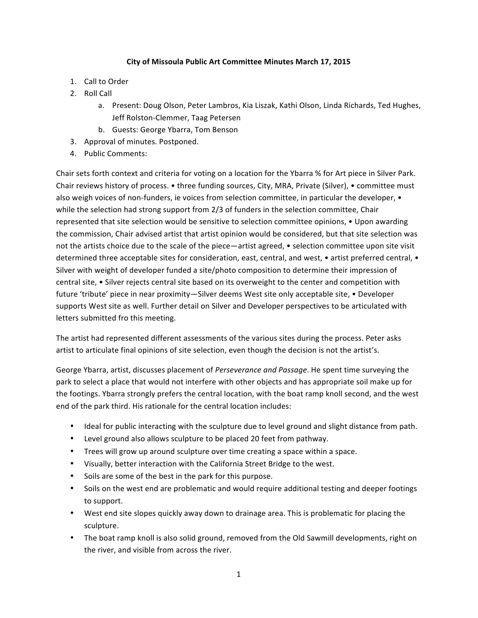## City of Missoula Public Art Committee Minutes March 17, 2015

- 1. Call to Order
- 2. Roll Call
	- a. Present: Doug Olson, Peter Lambros, Kia Liszak, Kathi Olson, Linda Richards, Ted Hughes, Jeff Rolston-Clemmer, Taag Petersen
	- b. Guests: George Ybarra, Tom Benson
- 3. Approval of minutes. Postponed.
- 4. Public Comments:

Chair sets forth context and criteria for voting on a location for the Ybarra % for Art piece in Silver Park. Chair reviews history of process. • three funding sources, City, MRA, Private (Silver), • committee must also weigh voices of non-funders, ie voices from selection committee, in particular the developer,  $\bullet$ while the selection had strong support from 2/3 of funders in the selection committee, Chair represented that site selection would be sensitive to selection committee opinions, • Upon awarding the commission, Chair advised artist that artist opinion would be considered, but that site selection was not the artists choice due to the scale of the piece—artist agreed, • selection committee upon site visit determined three acceptable sites for consideration, east, central, and west, • artist preferred central, • Silver with weight of developer funded a site/photo composition to determine their impression of central site,  $\bullet$  Silver rejects central site based on its overweight to the center and competition with future 'tribute' piece in near proximity—Silver deems West site only acceptable site, • Developer supports West site as well. Further detail on Silver and Developer perspectives to be articulated with letters submitted fro this meeting.

The artist had represented different assessments of the various sites during the process. Peter asks artist to articulate final opinions of site selection, even though the decision is not the artist's.

George Ybarra, artist, discusses placement of *Perseverance and Passage*. He spent time surveying the park to select a place that would not interfere with other objects and has appropriate soil make up for the footings. Ybarra strongly prefers the central location, with the boat ramp knoll second, and the west end of the park third. His rationale for the central location includes:

- Ideal for public interacting with the sculpture due to level ground and slight distance from path.
- Level ground also allows sculpture to be placed 20 feet from pathway.
- Trees will grow up around sculpture over time creating a space within a space.
- Visually, better interaction with the California Street Bridge to the west.
- Soils are some of the best in the park for this purpose.
- Soils on the west end are problematic and would require additional testing and deeper footings to support.
- West end site slopes quickly away down to drainage area. This is problematic for placing the sculpture.
- The boat ramp knoll is also solid ground, removed from the Old Sawmill developments, right on the river, and visible from across the river.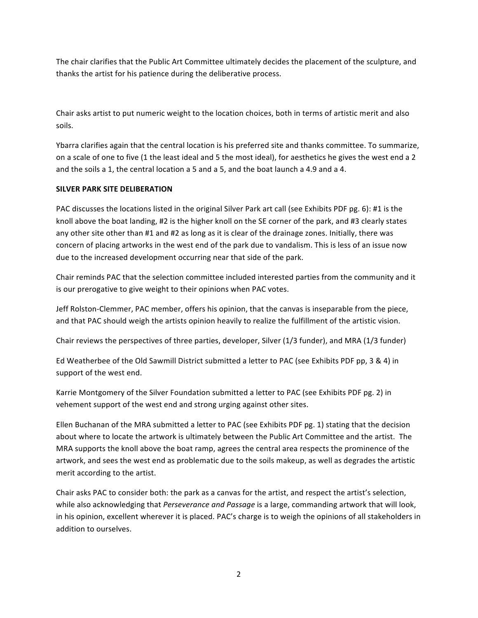The chair clarifies that the Public Art Committee ultimately decides the placement of the sculpture, and thanks the artist for his patience during the deliberative process.

Chair asks artist to put numeric weight to the location choices, both in terms of artistic merit and also soils.

Ybarra clarifies again that the central location is his preferred site and thanks committee. To summarize, on a scale of one to five (1 the least ideal and 5 the most ideal), for aesthetics he gives the west end a 2 and the soils a 1, the central location a 5 and a 5, and the boat launch a 4.9 and a 4.

## **SILVER PARK SITE DELIBERATION**

PAC discusses the locations listed in the original Silver Park art call (see Exhibits PDF pg. 6): #1 is the knoll above the boat landing, #2 is the higher knoll on the SE corner of the park, and #3 clearly states any other site other than #1 and #2 as long as it is clear of the drainage zones. Initially, there was concern of placing artworks in the west end of the park due to vandalism. This is less of an issue now due to the increased development occurring near that side of the park.

Chair reminds PAC that the selection committee included interested parties from the community and it is our prerogative to give weight to their opinions when PAC votes.

Jeff Rolston-Clemmer, PAC member, offers his opinion, that the canvas is inseparable from the piece, and that PAC should weigh the artists opinion heavily to realize the fulfillment of the artistic vision.

Chair reviews the perspectives of three parties, developer, Silver (1/3 funder), and MRA (1/3 funder)

Ed Weatherbee of the Old Sawmill District submitted a letter to PAC (see Exhibits PDF pp, 3 & 4) in support of the west end.

Karrie Montgomery of the Silver Foundation submitted a letter to PAC (see Exhibits PDF pg. 2) in vehement support of the west end and strong urging against other sites.

Ellen Buchanan of the MRA submitted a letter to PAC (see Exhibits PDF pg. 1) stating that the decision about where to locate the artwork is ultimately between the Public Art Committee and the artist. The MRA supports the knoll above the boat ramp, agrees the central area respects the prominence of the artwork, and sees the west end as problematic due to the soils makeup, as well as degrades the artistic merit according to the artist.

Chair asks PAC to consider both: the park as a canvas for the artist, and respect the artist's selection, while also acknowledging that *Perseverance and Passage* is a large, commanding artwork that will look, in his opinion, excellent wherever it is placed. PAC's charge is to weigh the opinions of all stakeholders in addition to ourselves.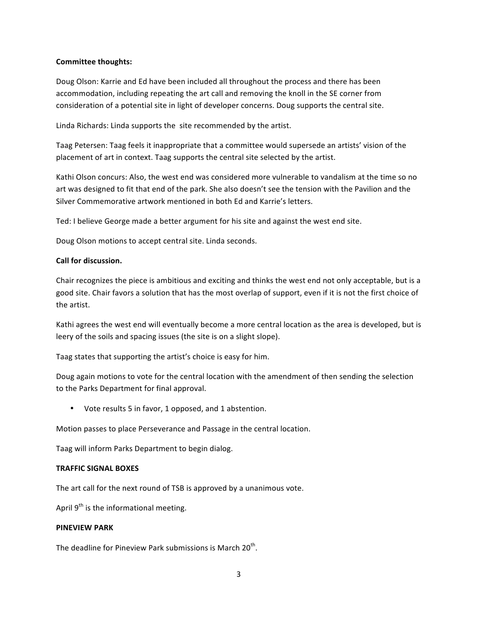### **Committee thoughts:**

Doug Olson: Karrie and Ed have been included all throughout the process and there has been accommodation, including repeating the art call and removing the knoll in the SE corner from consideration of a potential site in light of developer concerns. Doug supports the central site.

Linda Richards: Linda supports the site recommended by the artist.

Taag Petersen: Taag feels it inappropriate that a committee would supersede an artists' vision of the placement of art in context. Taag supports the central site selected by the artist.

Kathi Olson concurs: Also, the west end was considered more vulnerable to vandalism at the time so no art was designed to fit that end of the park. She also doesn't see the tension with the Pavilion and the Silver Commemorative artwork mentioned in both Ed and Karrie's letters.

Ted: I believe George made a better argument for his site and against the west end site.

Doug Olson motions to accept central site. Linda seconds.

### **Call for discussion.**

Chair recognizes the piece is ambitious and exciting and thinks the west end not only acceptable, but is a good site. Chair favors a solution that has the most overlap of support, even if it is not the first choice of the artist.

Kathi agrees the west end will eventually become a more central location as the area is developed, but is leery of the soils and spacing issues (the site is on a slight slope).

Taag states that supporting the artist's choice is easy for him.

Doug again motions to vote for the central location with the amendment of then sending the selection to the Parks Department for final approval.

• Vote results 5 in favor, 1 opposed, and 1 abstention.

Motion passes to place Perseverance and Passage in the central location.

Taag will inform Parks Department to begin dialog.

#### **TRAFFIC SIGNAL BOXES**

The art call for the next round of TSB is approved by a unanimous vote.

April  $9<sup>th</sup>$  is the informational meeting.

### **PINEVIEW PARK**

The deadline for Pineview Park submissions is March 20<sup>th</sup>.